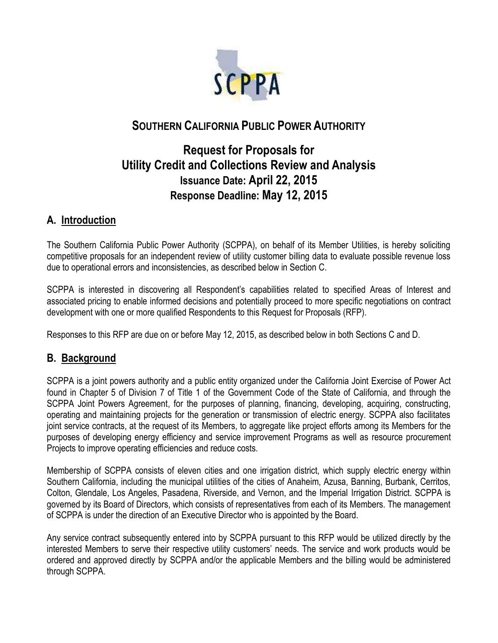

## **SOUTHERN CALIFORNIA PUBLIC POWER AUTHORITY**

# **Request for Proposals for Utility Credit and Collections Review and Analysis Issuance Date: April 22, 2015 Response Deadline: May 12, 2015**

#### **A. Introduction**

The Southern California Public Power Authority (SCPPA), on behalf of its Member Utilities, is hereby soliciting competitive proposals for an independent review of utility customer billing data to evaluate possible revenue loss due to operational errors and inconsistencies, as described below in Section C.

SCPPA is interested in discovering all Respondent's capabilities related to specified Areas of Interest and associated pricing to enable informed decisions and potentially proceed to more specific negotiations on contract development with one or more qualified Respondents to this Request for Proposals (RFP).

Responses to this RFP are due on or before May 12, 2015, as described below in both Sections C and D.

### **B. Background**

SCPPA is a joint powers authority and a public entity organized under the California Joint Exercise of Power Act found in Chapter 5 of Division 7 of Title 1 of the Government Code of the State of California, and through the SCPPA Joint Powers Agreement, for the purposes of planning, financing, developing, acquiring, constructing, operating and maintaining projects for the generation or transmission of electric energy. SCPPA also facilitates joint service contracts, at the request of its Members, to aggregate like project efforts among its Members for the purposes of developing energy efficiency and service improvement Programs as well as resource procurement Projects to improve operating efficiencies and reduce costs.

Membership of SCPPA consists of eleven cities and one irrigation district, which supply electric energy within Southern California, including the municipal utilities of the cities of Anaheim, Azusa, Banning, Burbank, Cerritos, Colton, Glendale, Los Angeles, Pasadena, Riverside, and Vernon, and the Imperial Irrigation District. SCPPA is governed by its Board of Directors, which consists of representatives from each of its Members. The management of SCPPA is under the direction of an Executive Director who is appointed by the Board.

Any service contract subsequently entered into by SCPPA pursuant to this RFP would be utilized directly by the interested Members to serve their respective utility customers' needs. The service and work products would be ordered and approved directly by SCPPA and/or the applicable Members and the billing would be administered through SCPPA.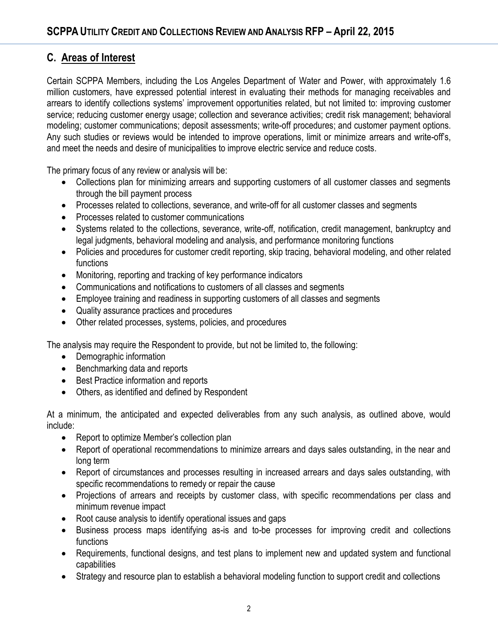### **C. Areas of Interest**

Certain SCPPA Members, including the Los Angeles Department of Water and Power, with approximately 1.6 million customers, have expressed potential interest in evaluating their methods for managing receivables and arrears to identify collections systems' improvement opportunities related, but not limited to: improving customer service; reducing customer energy usage; collection and severance activities; credit risk management; behavioral modeling; customer communications; deposit assessments; write-off procedures; and customer payment options. Any such studies or reviews would be intended to improve operations, limit or minimize arrears and write-off's, and meet the needs and desire of municipalities to improve electric service and reduce costs.

The primary focus of any review or analysis will be:

- Collections plan for minimizing arrears and supporting customers of all customer classes and segments through the bill payment process
- Processes related to collections, severance, and write-off for all customer classes and segments
- Processes related to customer communications
- Systems related to the collections, severance, write-off, notification, credit management, bankruptcy and legal judgments, behavioral modeling and analysis, and performance monitoring functions
- Policies and procedures for customer credit reporting, skip tracing, behavioral modeling, and other related functions
- Monitoring, reporting and tracking of key performance indicators
- Communications and notifications to customers of all classes and segments
- Employee training and readiness in supporting customers of all classes and segments
- Quality assurance practices and procedures
- Other related processes, systems, policies, and procedures

The analysis may require the Respondent to provide, but not be limited to, the following:

- Demographic information
- Benchmarking data and reports
- Best Practice information and reports
- Others, as identified and defined by Respondent

At a minimum, the anticipated and expected deliverables from any such analysis, as outlined above, would include:

- Report to optimize Member's collection plan
- Report of operational recommendations to minimize arrears and days sales outstanding, in the near and long term
- Report of circumstances and processes resulting in increased arrears and days sales outstanding, with specific recommendations to remedy or repair the cause
- Projections of arrears and receipts by customer class, with specific recommendations per class and minimum revenue impact
- Root cause analysis to identify operational issues and gaps
- Business process maps identifying as-is and to-be processes for improving credit and collections functions
- Requirements, functional designs, and test plans to implement new and updated system and functional capabilities
- Strategy and resource plan to establish a behavioral modeling function to support credit and collections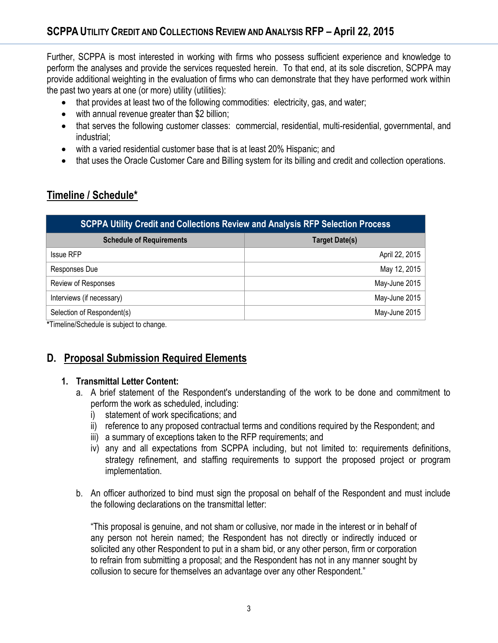Further, SCPPA is most interested in working with firms who possess sufficient experience and knowledge to perform the analyses and provide the services requested herein. To that end, at its sole discretion, SCPPA may provide additional weighting in the evaluation of firms who can demonstrate that they have performed work within the past two years at one (or more) utility (utilities):

- that provides at least two of the following commodities: electricity, gas, and water;
- with annual revenue greater than \$2 billion;
- that serves the following customer classes: commercial, residential, multi-residential, governmental, and industrial;
- with a varied residential customer base that is at least 20% Hispanic; and
- that uses the Oracle Customer Care and Billing system for its billing and credit and collection operations.

### **Timeline / Schedule\***

| <b>SCPPA Utility Credit and Collections Review and Analysis RFP Selection Process</b> |                       |
|---------------------------------------------------------------------------------------|-----------------------|
| <b>Schedule of Requirements</b>                                                       | <b>Target Date(s)</b> |
| <b>Issue RFP</b>                                                                      | April 22, 2015        |
| Responses Due                                                                         | May 12, 2015          |
| Review of Responses                                                                   | May-June 2015         |
| Interviews (if necessary)                                                             | May-June 2015         |
| Selection of Respondent(s)                                                            | May-June 2015         |

**\***Timeline/Schedule is subject to change.

### **D. Proposal Submission Required Elements**

#### **1. Transmittal Letter Content:**

- a. A brief statement of the Respondent's understanding of the work to be done and commitment to perform the work as scheduled, including:
	- i) statement of work specifications; and
	- ii) reference to any proposed contractual terms and conditions required by the Respondent; and
	- iii) a summary of exceptions taken to the RFP requirements; and
	- iv) any and all expectations from SCPPA including, but not limited to: requirements definitions, strategy refinement, and staffing requirements to support the proposed project or program implementation.
- b. An officer authorized to bind must sign the proposal on behalf of the Respondent and must include the following declarations on the transmittal letter:

"This proposal is genuine, and not sham or collusive, nor made in the interest or in behalf of any person not herein named; the Respondent has not directly or indirectly induced or solicited any other Respondent to put in a sham bid, or any other person, firm or corporation to refrain from submitting a proposal; and the Respondent has not in any manner sought by collusion to secure for themselves an advantage over any other Respondent."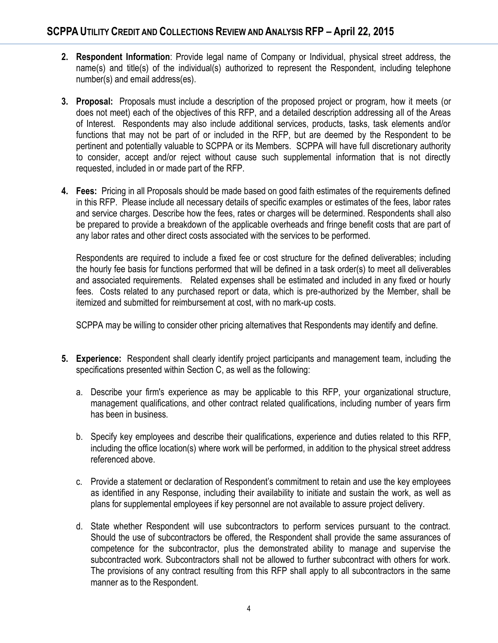- **2. Respondent Information**: Provide legal name of Company or Individual, physical street address, the name(s) and title(s) of the individual(s) authorized to represent the Respondent, including telephone number(s) and email address(es).
- **3. Proposal:** Proposals must include a description of the proposed project or program, how it meets (or does not meet) each of the objectives of this RFP, and a detailed description addressing all of the Areas of Interest. Respondents may also include additional services, products, tasks, task elements and/or functions that may not be part of or included in the RFP, but are deemed by the Respondent to be pertinent and potentially valuable to SCPPA or its Members. SCPPA will have full discretionary authority to consider, accept and/or reject without cause such supplemental information that is not directly requested, included in or made part of the RFP.
- **4. Fees:** Pricing in all Proposals should be made based on good faith estimates of the requirements defined in this RFP. Please include all necessary details of specific examples or estimates of the fees, labor rates and service charges. Describe how the fees, rates or charges will be determined. Respondents shall also be prepared to provide a breakdown of the applicable overheads and fringe benefit costs that are part of any labor rates and other direct costs associated with the services to be performed.

Respondents are required to include a fixed fee or cost structure for the defined deliverables; including the hourly fee basis for functions performed that will be defined in a task order(s) to meet all deliverables and associated requirements. Related expenses shall be estimated and included in any fixed or hourly fees. Costs related to any purchased report or data, which is pre-authorized by the Member, shall be itemized and submitted for reimbursement at cost, with no mark-up costs.

SCPPA may be willing to consider other pricing alternatives that Respondents may identify and define.

- **5. Experience:** Respondent shall clearly identify project participants and management team, including the specifications presented within Section C, as well as the following:
	- a. Describe your firm's experience as may be applicable to this RFP, your organizational structure, management qualifications, and other contract related qualifications, including number of years firm has been in business.
	- b. Specify key employees and describe their qualifications, experience and duties related to this RFP, including the office location(s) where work will be performed, in addition to the physical street address referenced above.
	- c. Provide a statement or declaration of Respondent's commitment to retain and use the key employees as identified in any Response, including their availability to initiate and sustain the work, as well as plans for supplemental employees if key personnel are not available to assure project delivery.
	- d. State whether Respondent will use subcontractors to perform services pursuant to the contract. Should the use of subcontractors be offered, the Respondent shall provide the same assurances of competence for the subcontractor, plus the demonstrated ability to manage and supervise the subcontracted work. Subcontractors shall not be allowed to further subcontract with others for work. The provisions of any contract resulting from this RFP shall apply to all subcontractors in the same manner as to the Respondent.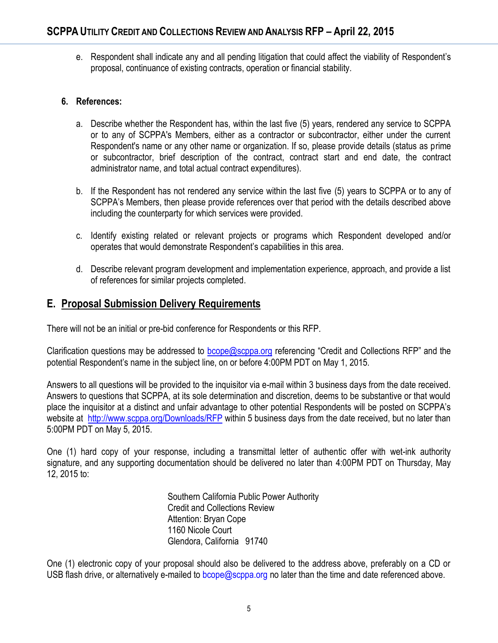e. Respondent shall indicate any and all pending litigation that could affect the viability of Respondent's proposal, continuance of existing contracts, operation or financial stability.

#### **6. References:**

- a. Describe whether the Respondent has, within the last five (5) years, rendered any service to SCPPA or to any of SCPPA's Members, either as a contractor or subcontractor, either under the current Respondent's name or any other name or organization. If so, please provide details (status as prime or subcontractor, brief description of the contract, contract start and end date, the contract administrator name, and total actual contract expenditures).
- b. If the Respondent has not rendered any service within the last five (5) years to SCPPA or to any of SCPPA's Members, then please provide references over that period with the details described above including the counterparty for which services were provided.
- c. Identify existing related or relevant projects or programs which Respondent developed and/or operates that would demonstrate Respondent's capabilities in this area.
- d. Describe relevant program development and implementation experience, approach, and provide a list of references for similar projects completed.

#### **E. Proposal Submission Delivery Requirements**

There will not be an initial or pre-bid conference for Respondents or this RFP.

Clarification questions may be addressed to **bcope@scppa.org** referencing "Credit and Collections RFP" and the potential Respondent's name in the subject line, on or before 4:00PM PDT on May 1, 2015.

Answers to all questions will be provided to the inquisitor via e-mail within 3 business days from the date received. Answers to questions that SCPPA, at its sole determination and discretion, deems to be substantive or that would place the inquisitor at a distinct and unfair advantage to other potential Respondents will be posted on SCPPA's website at http://www.scppa.org/Downloads/RFP within 5 business days from the date received, but no later than 5:00PM PDT on May 5, 2015.

One (1) hard copy of your response, including a transmittal letter of authentic offer with wet-ink authority signature, and any supporting documentation should be delivered no later than 4:00PM PDT on Thursday, May 12, 2015 to:

> Southern California Public Power Authority Credit and Collections Review Attention: Bryan Cope 1160 Nicole Court Glendora, California 91740

One (1) electronic copy of your proposal should also be delivered to the address above, preferably on a CD or USB flash drive, or alternatively e-mailed to bcope@scppa.org no later than the time and date referenced above.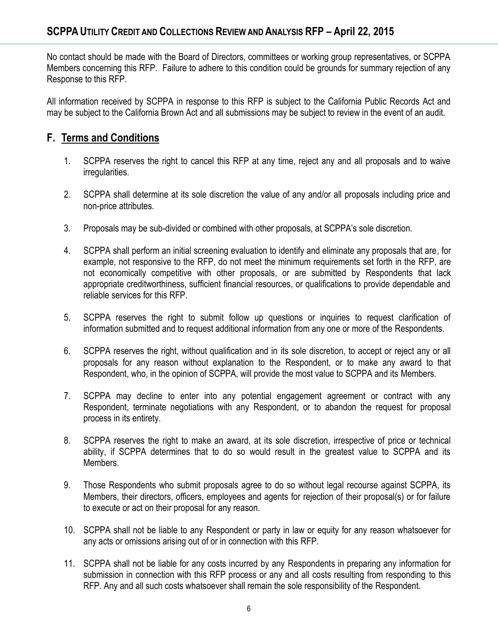No contact should be made with the Board of Directors, committees or working group representatives, or SCPPA Members concerning this RFP. Failure to adhere to this condition could be grounds for summary rejection of any Response to this RFP.

All information received by SCPPA in response to this RFP is subject to the California Public Records Act and may be subject to the California Brown Act and all submissions may be subject to review in the event of an audit.

### **F. Terms and Conditions**

- 1. SCPPA reserves the right to cancel this RFP at any time, reject any and all proposals and to waive irregularities.
- 2. SCPPA shall determine at its sole discretion the value of any and/or all proposals including price and non-price attributes.
- 3. Proposals may be sub-divided or combined with other proposals, at SCPPA's sole discretion.
- 4. SCPPA shall perform an initial screening evaluation to identify and eliminate any proposals that are, for example, not responsive to the RFP, do not meet the minimum requirements set forth in the RFP, are not economically competitive with other proposals, or are submitted by Respondents that lack appropriate creditworthiness, sufficient financial resources, or qualifications to provide dependable and reliable services for this RFP.
- 5. SCPPA reserves the right to submit follow up questions or inquiries to request clarification of information submitted and to request additional information from any one or more of the Respondents.
- 6. SCPPA reserves the right, without qualification and in its sole discretion, to accept or reject any or all proposals for any reason without explanation to the Respondent, or to make any award to that Respondent, who, in the opinion of SCPPA, will provide the most value to SCPPA and its Members.
- 7. SCPPA may decline to enter into any potential engagement agreement or contract with any Respondent, terminate negotiations with any Respondent, or to abandon the request for proposal process in its entirety.
- 8. SCPPA reserves the right to make an award, at its sole discretion, irrespective of price or technical ability, if SCPPA determines that to do so would result in the greatest value to SCPPA and its Members.
- 9. Those Respondents who submit proposals agree to do so without legal recourse against SCPPA, its Members, their directors, officers, employees and agents for rejection of their proposal(s) or for failure to execute or act on their proposal for any reason.
- 10. SCPPA shall not be liable to any Respondent or party in law or equity for any reason whatsoever for any acts or omissions arising out of or in connection with this RFP.
- 11. SCPPA shall not be liable for any costs incurred by any Respondents in preparing any information for submission in connection with this RFP process or any and all costs resulting from responding to this RFP. Any and all such costs whatsoever shall remain the sole responsibility of the Respondent.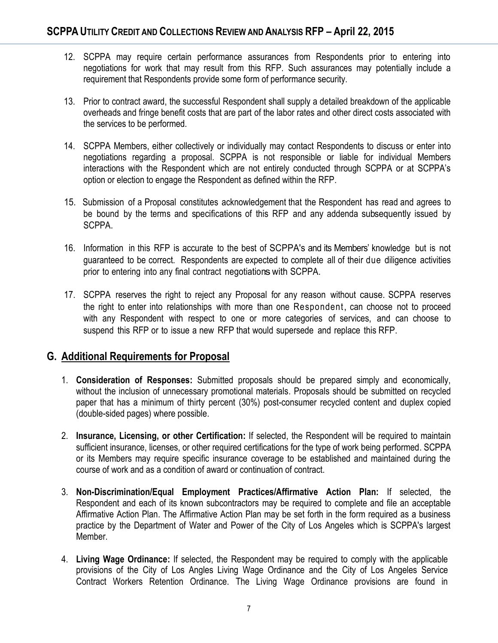- 12. SCPPA may require certain performance assurances from Respondents prior to entering into negotiations for work that may result from this RFP. Such assurances may potentially include a requirement that Respondents provide some form of performance security.
- 13. Prior to contract award, the successful Respondent shall supply a detailed breakdown of the applicable overheads and fringe benefit costs that are part of the labor rates and other direct costs associated with the services to be performed.
- 14. SCPPA Members, either collectively or individually may contact Respondents to discuss or enter into negotiations regarding a proposal. SCPPA is not responsible or liable for individual Members interactions with the Respondent which are not entirely conducted through SCPPA or at SCPPA's option or election to engage the Respondent as defined within the RFP.
- 15. Submission of a Proposal constitutes acknowledgement that the Respondent has read and agrees to be bound by the terms and specifications of this RFP and any addenda subsequently issued by SCPPA.
- 16. Information in this RFP is accurate to the best of SCPPA's and its Members' knowledge but is not guaranteed to be correct. Respondents are expected to complete all of their due diligence activities prior to entering into any final contract negotiations with SCPPA.
- 17. SCPPA reserves the right to reject any Proposal for any reason without cause. SCPPA reserves the right to enter into relationships with more than one Respondent, can choose not to proceed with any Respondent with respect to one or more categories of services, and can choose to suspend this RFP or to issue a new RFP that would supersede and replace this RFP.

#### **G. Additional Requirements for Proposal**

- 1. **Consideration of Responses:** Submitted proposals should be prepared simply and economically, without the inclusion of unnecessary promotional materials. Proposals should be submitted on recycled paper that has a minimum of thirty percent (30%) post-consumer recycled content and duplex copied (double-sided pages) where possible.
- 2. **Insurance, Licensing, or other Certification:** If selected, the Respondent will be required to maintain sufficient insurance, licenses, or other required certifications for the type of work being performed. SCPPA or its Members may require specific insurance coverage to be established and maintained during the course of work and as a condition of award or continuation of contract.
- 3. **Non-Discrimination/Equal Employment Practices/Affirmative Action Plan:** If selected, the Respondent and each of its known subcontractors may be required to complete and file an acceptable Affirmative Action Plan. The Affirmative Action Plan may be set forth in the form required as a business practice by the Department of Water and Power of the City of Los Angeles which is SCPPA's largest Member.
- 4. **Living Wage Ordinance:** If selected, the Respondent may be required to comply with the applicable provisions of the City of Los Angles Living Wage Ordinance and the City of Los Angeles Service Contract Workers Retention Ordinance. The Living Wage Ordinance provisions are found in